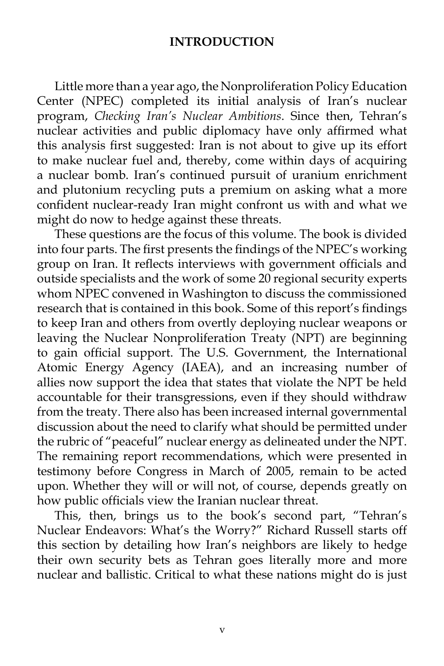## **INTRODUCTION**

 Little more than a year ago, the Nonproliferation Policy Education Center (NPEC) completed its initial analysis of Iran's nuclear program, *Checking Iran's Nuclear Ambitions*. Since then, Tehran's nuclear activities and public diplomacy have only affirmed what this analysis first suggested: Iran is not about to give up its effort to make nuclear fuel and, thereby, come within days of acquiring a nuclear bomb. Iran's continued pursuit of uranium enrichment and plutonium recycling puts a premium on asking what a more confident nuclear-ready Iran might confront us with and what we might do now to hedge against these threats.

 These questions are the focus of this volume. The book is divided into four parts. The first presents the findings of the NPEC's working group on Iran. It reflects interviews with government officials and outside specialists and the work of some 20 regional security experts whom NPEC convened in Washington to discuss the commissioned research that is contained in this book. Some of this report's findings to keep Iran and others from overtly deploying nuclear weapons or leaving the Nuclear Nonproliferation Treaty (NPT) are beginning to gain official support. The U.S. Government, the International Atomic Energy Agency (IAEA), and an increasing number of allies now support the idea that states that violate the NPT be held accountable for their transgressions, even if they should withdraw from the treaty. There also has been increased internal governmental discussion about the need to clarify what should be permitted under the rubric of "peaceful" nuclear energy as delineated under the NPT. The remaining report recommendations, which were presented in testimony before Congress in March of 2005, remain to be acted upon. Whether they will or will not, of course, depends greatly on how public officials view the Iranian nuclear threat.

 This, then, brings us to the book's second part, "Tehran's Nuclear Endeavors: What's the Worry?" Richard Russell starts off this section by detailing how Iran's neighbors are likely to hedge their own security bets as Tehran goes literally more and more nuclear and ballistic. Critical to what these nations might do is just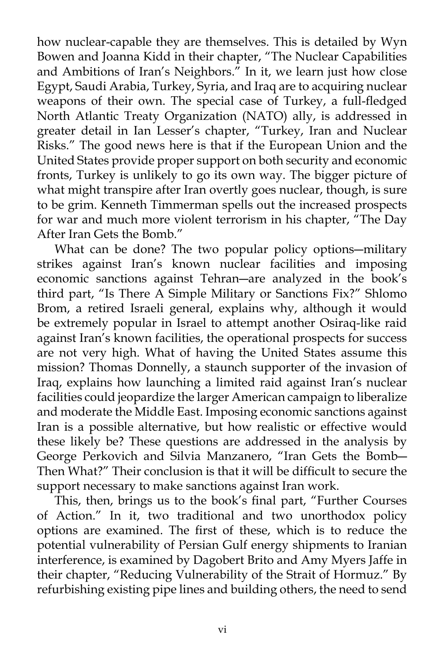how nuclear-capable they are themselves. This is detailed by Wyn Bowen and Joanna Kidd in their chapter, "The Nuclear Capabilities and Ambitions of Iran's Neighbors." In it, we learn just how close Egypt, Saudi Arabia, Turkey, Syria, and Iraq are to acquiring nuclear weapons of their own. The special case of Turkey, a full-fledged North Atlantic Treaty Organization (NATO) ally, is addressed in greater detail in Ian Lesser's chapter, "Turkey, Iran and Nuclear Risks." The good news here is that if the European Union and the United States provide proper support on both security and economic fronts, Turkey is unlikely to go its own way. The bigger picture of what might transpire after Iran overtly goes nuclear, though, is sure to be grim. Kenneth Timmerman spells out the increased prospects for war and much more violent terrorism in his chapter, <sup>"The Day</sup> After Iran Gets the Bomb."

 What can be done? The two popular policy options―military strikes against Iran's known nuclear facilities and imposing economic sanctions against Tehran―are analyzed in the book's third part, "Is There A Simple Military or Sanctions Fix?" Shlomo Brom, a retired Israeli general, explains why, although it would be extremely popular in Israel to attempt another Osiraq-like raid against Iran's known facilities, the operational prospects for success are not very high. What of having the United States assume this mission? Thomas Donnelly, a staunch supporter of the invasion of Iraq, explains how launching a limited raid against Iran's nuclear facilities could jeopardize the larger American campaign to liberalize and moderate the Middle East. Imposing economic sanctions against Iran is a possible alternative, but how realistic or effective would these likely be? These questions are addressed in the analysis by George Perkovich and Silvia Manzanero, "Iran Gets the Bomb― Then What?" Their conclusion is that it will be difficult to secure the support necessary to make sanctions against Iran work.

 This, then, brings us to the book's final part, "Further Courses of Action." In it, two traditional and two unorthodox policy options are examined. The first of these, which is to reduce the potential vulnerability of Persian Gulf energy shipments to Iranian interference, is examined by Dagobert Brito and Amy Myers Jaffe in their chapter, "Reducing Vulnerability of the Strait of Hormuz." By refurbishing existing pipe lines and building others, the need to send